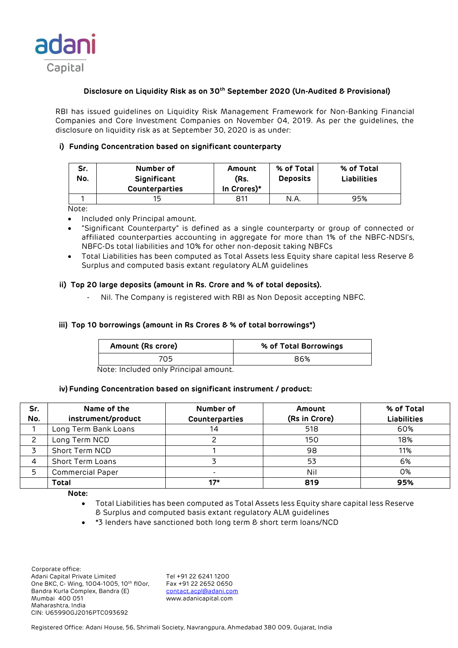

# **Disclosure on Liquidity Risk as on 30th September 2020 (Un-Audited & Provisional)**

RBI has issued guidelines on Liquidity Risk Management Framework for Non-Banking Financial Companies and Core Investment Companies on November 04, 2019. As per the guidelines, the disclosure on liquidity risk as at September 30, 2020 is as under:

## **i) Funding Concentration based on significant counterparty**

| Sr.<br>No. | Number of<br>Significant<br><b>Counterparties</b> | Amount<br>(Rs.<br>In Crores)* | % of Total<br><b>Deposits</b> | % of Total<br><b>Liabilities</b> |
|------------|---------------------------------------------------|-------------------------------|-------------------------------|----------------------------------|
|            |                                                   |                               |                               |                                  |
|            |                                                   |                               |                               |                                  |

Note:

- Included only Principal amount.
- "Significant Counterparty" is defined as a single counterparty or group of connected or affiliated counterparties accounting in aggregate for more than 1% of the NBFC-NDSI's, NBFC-Ds total liabilities and 10% for other non-deposit taking NBFCs
- Total Liabilities has been computed as Total Assets less Equity share capital less Reserve & Surplus and computed basis extant regulatory ALM guidelines

### **ii) Top 20 large deposits (amount in Rs. Crore and % of total deposits).**

Nil. The Company is registered with RBI as Non Deposit accepting NBFC.

## **iii) Top 10 borrowings (amount in Rs Crores & % of total borrowings\*)**

| Amount (Rs crore) | % of Total Borrowings |
|-------------------|-----------------------|
| 705               | 86%                   |

Note: Included only Principal amount.

#### **iv) Funding Concentration based on significant instrument / product:**

| Sr.<br>No. | Name of the<br>instrument/product | Number of<br>Counterparties | Amount<br>(Rs in Crore) | % of Total<br><b>Liabilities</b> |
|------------|-----------------------------------|-----------------------------|-------------------------|----------------------------------|
|            | Long Term Bank Loans              | 14                          | 518                     | 60%                              |
|            | Long Term NCD                     |                             | 150                     | 18%                              |
|            | Short Term NCD                    |                             | 98                      | 11%                              |
|            | <b>Short Term Loans</b>           |                             | 53                      | 6%                               |
| 5          | <b>Commercial Paper</b>           |                             | Nil                     | 0%                               |
|            | <b>Total</b>                      | $17*$                       | 819                     | 95%                              |

**Note:** 

- Total Liabilities has been computed as Total Assets less Equity share capital less Reserve & Surplus and computed basis extant regulatory ALM guidelines
- \*3 lenders have sanctioned both long term & short term loans/NCD

 Corporate office: Adani Capital Private Limited Tel +91 22 6241 1200<br>One BKC, C- Wing, 1004-1005, 10th flOor, Fax +91 22 2652 0650 One BKC, C- Wing, 1004-1005, 10th fl0or, Bandra Kurla Complex, Bandra (E) [contact.acpl@adani.com](mailto:contact.acpl@adani.com) Mumbai 400 051 www.adanicapital.com Maharashtra, India CIN: U65990GJ2016PTC093692